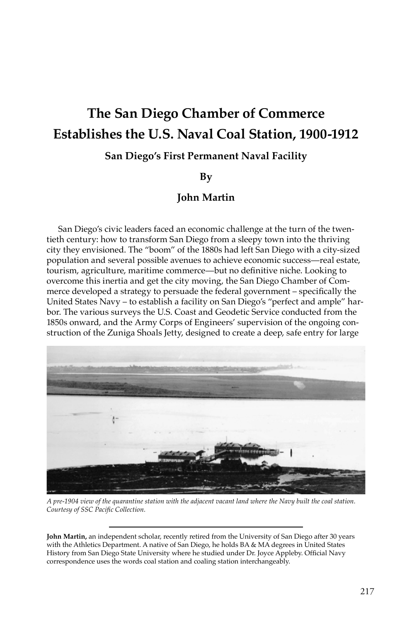# **The San Diego Chamber of Commerce Establishes the U.S. Naval Coal Station, 1900-1912**

## **San Diego's First Permanent Naval Facility**

#### **By**

### **John Martin**

San Diego's civic leaders faced an economic challenge at the turn of the twentieth century: how to transform San Diego from a sleepy town into the thriving city they envisioned. The "boom" of the 1880s had left San Diego with a city-sized population and several possible avenues to achieve economic success—real estate, tourism, agriculture, maritime commerce—but no definitive niche. Looking to overcome this inertia and get the city moving, the San Diego Chamber of Commerce developed a strategy to persuade the federal government – specifically the United States Navy – to establish a facility on San Diego's "perfect and ample" harbor. The various surveys the U.S. Coast and Geodetic Service conducted from the 1850s onward, and the Army Corps of Engineers' supervision of the ongoing construction of the Zuniga Shoals Jetty, designed to create a deep, safe entry for large



*A pre-1904 view of the quarantine station with the adjacent vacant land where the Navy built the coal station. Courtesy of SSC Pacific Collection.*

**John Martin,** an independent scholar, recently retired from the University of San Diego after 30 years with the Athletics Department. A native of San Diego, he holds BA & MA degrees in United States History from San Diego State University where he studied under Dr. Joyce Appleby. Official Navy correspondence uses the words coal station and coaling station interchangeably.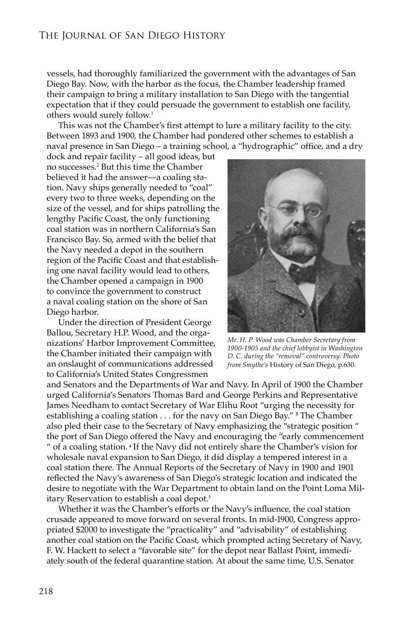vessels, had thoroughly familiarized the government with the advantages of San Diego Bay. Now, with the harbor as the focus, the Chamber leadership framed their campaign to bring a military installation to San Diego with the tangential expectation that if they could persuade the government to establish one facility, others would surely follow.<sup>1</sup>

This was not the Chamber's first attempt to lure a military facility to the city. Between 1893 and 1900, the Chamber had pondered other schemes to establish a naval presence in San Diego – a training school, a "hydrographic" office, and a dry

dock and repair facility – all good ideas, but no successes.<sup>2</sup> But this time the Chamber believed it had the answer—a coaling station. Navy ships generally needed to "coal" every two to three weeks, depending on the size of the vessel, and for ships patrolling the lengthy Pacific Coast, the only functioning coal station was in northern California's San Francisco Bay. So, armed with the belief that the Navy needed a depot in the southern region of the Pacific Coast and that establishing one naval facility would lead to others, the Chamber opened a campaign in 1900 to convince the government to construct a naval coaling station on the shore of San Diego harbor.

Under the direction of President George Ballou, Secretary H.P. Wood, and the organizations' Harbor Improvement Committee, the Chamber initiated their campaign with an onslaught of communications addressed to California's United States Congressmen



*Mr. H. P. Wood was Chamber Secretary from 1900-1905 and the chief lobbyist in Washington D. C. during the "removal" controversy. Photo from Smythe's* History of San Diego, p.630*.* 

and Senators and the Departments of War and Navy. In April of 1900 the Chamber urged California's Senators Thomas Bard and George Perkins and Representative James Needham to contact Secretary of War Elihu Root "urging the necessity for establishing a coaling station . . . for the navy on San Diego Bay." **<sup>3</sup>** The Chamber also pled their case to the Secretary of Navy emphasizing the "strategic position " the port of San Diego offered the Navy and encouraging the "early commencement " of a coaling station**. <sup>4</sup>** If the Navy did not entirely share the Chamber's vision for wholesale naval expansion to San Diego, it did display a tempered interest in a coal station there. The Annual Reports of the Secretary of Navy in 1900 and 1901 reflected the Navy's awareness of San Diego's strategic location and indicated the desire to negotiate with the War Department to obtain land on the Point Loma Military Reservation to establish a coal depot.<sup>5</sup>

Whether it was the Chamber's efforts or the Navy's influence, the coal station crusade appeared to move forward on several fronts. In mid-1900, Congress appropriated \$2000 to investigate the "practicality" and "advisability" of establishing another coal station on the Pacific Coast, which prompted acting Secretary of Navy, F. W. Hackett to select a "favorable site" for the depot near Ballast Point, immediately south of the federal quarantine station. At about the same time, U.S. Senator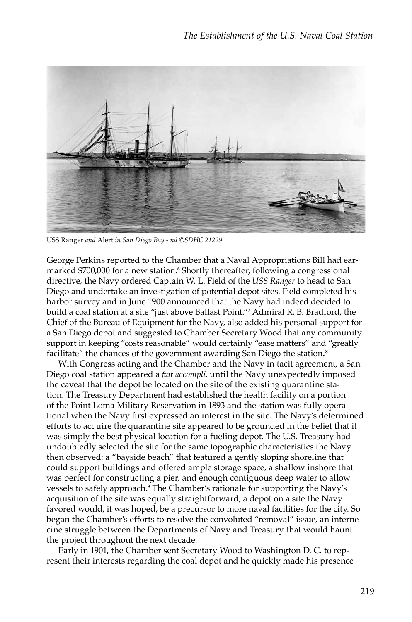

USS Ranger *and* Alert *in San Diego Bay - nd ©SDHC 21229.*

George Perkins reported to the Chamber that a Naval Appropriations Bill had earmarked \$700,000 for a new station.<sup>6</sup> Shortly thereafter, following a congressional directive, the Navy ordered Captain W. L. Field of the *USS Ranger* to head to San Diego and undertake an investigation of potential depot sites. Field completed his harbor survey and in June 1900 announced that the Navy had indeed decided to build a coal station at a site "just above Ballast Point."<sup>7</sup> Admiral R. B. Bradford, the Chief of the Bureau of Equipment for the Navy, also added his personal support for a San Diego depot and suggested to Chamber Secretary Wood that any community support in keeping "costs reasonable" would certainly "ease matters" and "greatly facilitate" the chances of the government awarding San Diego the station**. 8**

With Congress acting and the Chamber and the Navy in tacit agreement, a San Diego coal station appeared a *fait accompli,* until the Navy unexpectedly imposed the caveat that the depot be located on the site of the existing quarantine station. The Treasury Department had established the health facility on a portion of the Point Loma Military Reservation in 1893 and the station was fully operational when the Navy first expressed an interest in the site. The Navy's determined efforts to acquire the quarantine site appeared to be grounded in the belief that it was simply the best physical location for a fueling depot. The U.S. Treasury had undoubtedly selected the site for the same topographic characteristics the Navy then observed: a "bayside beach" that featured a gently sloping shoreline that could support buildings and offered ample storage space, a shallow inshore that was perfect for constructing a pier, and enough contiguous deep water to allow vessels to safely approach.<sup>9</sup> The Chamber's rationale for supporting the Navy's acquisition of the site was equally straightforward; a depot on a site the Navy favored would, it was hoped, be a precursor to more naval facilities for the city. So began the Chamber's efforts to resolve the convoluted "removal" issue, an internecine struggle between the Departments of Navy and Treasury that would haunt the project throughout the next decade.

Early in 1901, the Chamber sent Secretary Wood to Washington D. C. to represent their interests regarding the coal depot and he quickly made his presence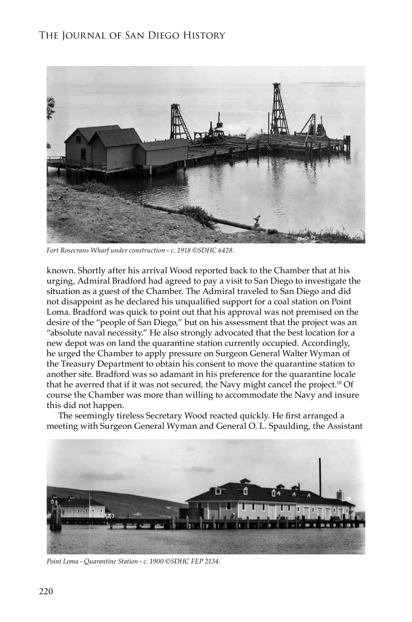## The Journal of San Diego History



*Fort Rosecrans Wharf under construction - c. 1918 ©SDHC 6428.*

known. Shortly after his arrival Wood reported back to the Chamber that at his urging, Admiral Bradford had agreed to pay a visit to San Diego to investigate the situation as a guest of the Chamber. The Admiral traveled to San Diego and did not disappoint as he declared his unqualified support for a coal station on Point Loma. Bradford was quick to point out that his approval was not premised on the desire of the "people of San Diego," but on his assessment that the project was an "absolute naval necessity." He also strongly advocated that the best location for a new depot was on land the quarantine station currently occupied. Accordingly, he urged the Chamber to apply pressure on Surgeon General Walter Wyman of the Treasury Department to obtain his consent to move the quarantine station to another site. Bradford was so adamant in his preference for the quarantine locale that he averred that if it was not secured, the Navy might cancel the project.<sup>10</sup> Of course the Chamber was more than willing to accommodate the Navy and insure this did not happen.

The seemingly tireless Secretary Wood reacted quickly. He first arranged a meeting with Surgeon General Wyman and General O. L. Spaulding, the Assistant



*Point Loma - Quarantine Station - c. 1900 ©SDHC FEP 2134.*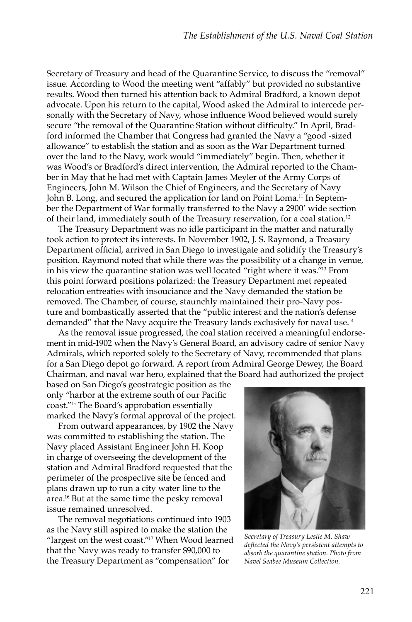Secretary of Treasury and head of the Quarantine Service, to discuss the "removal" issue. According to Wood the meeting went "affably" but provided no substantive results. Wood then turned his attention back to Admiral Bradford, a known depot advocate. Upon his return to the capital, Wood asked the Admiral to intercede personally with the Secretary of Navy, whose influence Wood believed would surely secure "the removal of the Quarantine Station without difficulty." In April, Bradford informed the Chamber that Congress had granted the Navy a "good -sized allowance" to establish the station and as soon as the War Department turned over the land to the Navy, work would "immediately" begin. Then, whether it was Wood's or Bradford's direct intervention, the Admiral reported to the Chamber in May that he had met with Captain James Meyler of the Army Corps of Engineers, John M. Wilson the Chief of Engineers, and the Secretary of Navy John B. Long, and secured the application for land on Point Loma.<sup>11</sup> In September the Department of War formally transferred to the Navy a 2900' wide section of their land, immediately south of the Treasury reservation, for a coal station.<sup>12</sup>

The Treasury Department was no idle participant in the matter and naturally took action to protect its interests. In November 1902, J. S. Raymond, a Treasury Department official, arrived in San Diego to investigate and solidify the Treasury's position. Raymond noted that while there was the possibility of a change in venue, in his view the quarantine station was well located "right where it was."<sup>13</sup> From this point forward positions polarized: the Treasury Department met repeated relocation entreaties with insouciance and the Navy demanded the station be removed. The Chamber, of course, staunchly maintained their pro-Navy posture and bombastically asserted that the "public interest and the nation's defense demanded" that the Navy acquire the Treasury lands exclusively for naval use.<sup>14</sup>

As the removal issue progressed, the coal station received a meaningful endorsement in mid-1902 when the Navy's General Board, an advisory cadre of senior Navy Admirals, which reported solely to the Secretary of Navy, recommended that plans for a San Diego depot go forward. A report from Admiral George Dewey, the Board Chairman, and naval war hero, explained that the Board had authorized the project

based on San Diego's geostrategic position as the only "harbor at the extreme south of our Pacific coast."<sup>15</sup> The Board's approbation essentially marked the Navy's formal approval of the project.

From outward appearances, by 1902 the Navy was committed to establishing the station. The Navy placed Assistant Engineer John H. Koop in charge of overseeing the development of the station and Admiral Bradford requested that the perimeter of the prospective site be fenced and plans drawn up to run a city water line to the area.16 But at the same time the pesky removal issue remained unresolved.

The removal negotiations continued into 1903 as the Navy still aspired to make the station the "largest on the west coast."<sup>17</sup> When Wood learned that the Navy was ready to transfer \$90,000 to the Treasury Department as "compensation" for



*Secretary of Treasury Leslie M. Shaw deflected the Navy's persistent attempts to absorb the quarantine station. Photo from Navel Seabee Museum Collection.*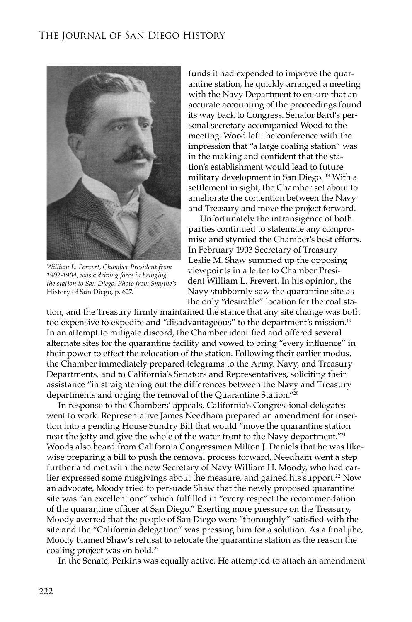

*William L. Fervert, Chamber President from 1902-1904, was a driving force in bringing the station to San Diego. Photo from Smythe's*  History of San Diego, p. 627*.*

funds it had expended to improve the quarantine station, he quickly arranged a meeting with the Navy Department to ensure that an accurate accounting of the proceedings found its way back to Congress. Senator Bard's personal secretary accompanied Wood to the meeting. Wood left the conference with the impression that "a large coaling station" was in the making and confident that the station's establishment would lead to future military development in San Diego. <sup>18</sup> With a settlement in sight, the Chamber set about to ameliorate the contention between the Navy and Treasury and move the project forward.

Unfortunately the intransigence of both parties continued to stalemate any compromise and stymied the Chamber's best efforts. In February 1903 Secretary of Treasury Leslie M. Shaw summed up the opposing viewpoints in a letter to Chamber President William L. Frevert. In his opinion, the Navy stubbornly saw the quarantine site as the only "desirable" location for the coal sta-

tion, and the Treasury firmly maintained the stance that any site change was both too expensive to expedite and "disadvantageous" to the department's mission.<sup>19</sup> In an attempt to mitigate discord, the Chamber identified and offered several alternate sites for the quarantine facility and vowed to bring "every influence" in their power to effect the relocation of the station. Following their earlier modus, the Chamber immediately prepared telegrams to the Army, Navy, and Treasury Departments, and to California's Senators and Representatives, soliciting their assistance "in straightening out the differences between the Navy and Treasury departments and urging the removal of the Quarantine Station."<sup>20</sup>

In response to the Chambers' appeals, California's Congressional delegates went to work. Representative James Needham prepared an amendment for insertion into a pending House Sundry Bill that would "move the quarantine station near the jetty and give the whole of the water front to the Navy department."<sup>21</sup> Woods also heard from California Congressmen Milton J. Daniels that he was likewise preparing a bill to push the removal process forward**.** Needham went a step further and met with the new Secretary of Navy William H. Moody, who had earlier expressed some misgivings about the measure, and gained his support.<sup>22</sup> Now an advocate, Moody tried to persuade Shaw that the newly proposed quarantine site was "an excellent one" which fulfilled in "every respect the recommendation of the quarantine officer at San Diego." Exerting more pressure on the Treasury, Moody averred that the people of San Diego were "thoroughly" satisfied with the site and the "California delegation" was pressing him for a solution. As a final jibe, Moody blamed Shaw's refusal to relocate the quarantine station as the reason the coaling project was on hold.<sup>23</sup>

In the Senate, Perkins was equally active. He attempted to attach an amendment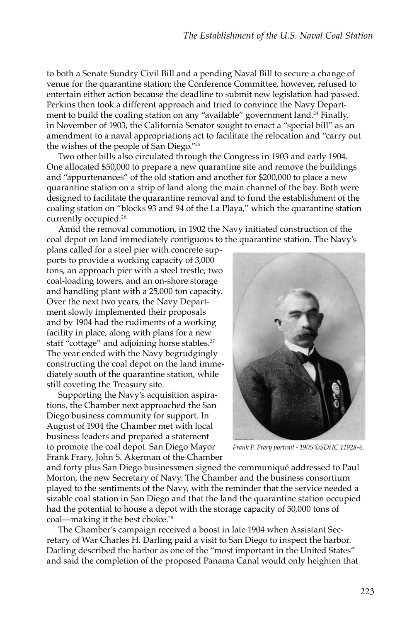to both a Senate Sundry Civil Bill and a pending Naval Bill to secure a change of venue for the quarantine station; the Conference Committee, however, refused to entertain either action because the deadline to submit new legislation had passed. Perkins then took a different approach and tried to convince the Navy Department to build the coaling station on any "available" government land.<sup>24</sup> Finally, in November of 1903, the California Senator sought to enact a "special bill" as an amendment to a naval appropriations act to facilitate the relocation and "carry out the wishes of the people of San Diego."<sup>25</sup>

Two other bills also circulated through the Congress in 1903 and early 1904. One allocated \$50,000 to prepare a new quarantine site and remove the buildings and "appurtenances" of the old station and another for \$200,000 to place a new quarantine station on a strip of land along the main channel of the bay. Both were designed to facilitate the quarantine removal and to fund the establishment of the coaling station on "blocks 93 and 94 of the La Playa," which the quarantine station currently occupied.<sup>26</sup>

Amid the removal commotion, in 1902 the Navy initiated construction of the coal depot on land immediately contiguous to the quarantine station. The Navy's

plans called for a steel pier with concrete supports to provide a working capacity of 3,000 tons, an approach pier with a steel trestle, two coal-loading towers, and an on-shore storage and handling plant with a 25,000 ton capacity. Over the next two years, the Navy Department slowly implemented their proposals and by 1904 had the rudiments of a working facility in place, along with plans for a new staff "cottage" and adjoining horse stables.<sup>27</sup> The year ended with the Navy begrudgingly constructing the coal depot on the land immediately south of the quarantine station, while still coveting the Treasury site.

Supporting the Navy's acquisition aspirations, the Chamber next approached the San Diego business community for support. In August of 1904 the Chamber met with local business leaders and prepared a statement to promote the coal depot. San Diego Mayor Frank Frary, John S. Akerman of the Chamber



*Frank P. Frary portrait - 1905 ©SDHC 11928-6.*

and forty plus San Diego businessmen signed the communiqué addressed to Paul Morton, the new Secretary of Navy. The Chamber and the business consortium played to the sentiments of the Navy, with the reminder that the service needed a sizable coal station in San Diego and that the land the quarantine station occupied had the potential to house a depot with the storage capacity of 50,000 tons of coal—making it the best choice.<sup>28</sup>

The Chamber's campaign received a boost in late 1904 when Assistant Secretary of War Charles H. Darling paid a visit to San Diego to inspect the harbor. Darling described the harbor as one of the "most important in the United States" and said the completion of the proposed Panama Canal would only heighten that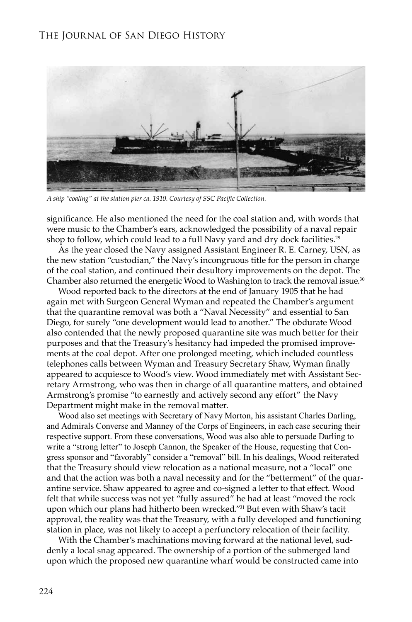### The Journal of San Diego History



*A ship "coaling" at the station pier ca. 1910. Courtesy of SSC Pacific Collection.*

significance. He also mentioned the need for the coal station and, with words that were music to the Chamber's ears, acknowledged the possibility of a naval repair shop to follow, which could lead to a full Navy yard and dry dock facilities.<sup>29</sup>

As the year closed the Navy assigned Assistant Engineer R. E. Carney, USN, as the new station "custodian," the Navy's incongruous title for the person in charge of the coal station, and continued their desultory improvements on the depot. The Chamber also returned the energetic Wood to Washington to track the removal issue.<sup>30</sup>

Wood reported back to the directors at the end of January 1905 that he had again met with Surgeon General Wyman and repeated the Chamber's argument that the quarantine removal was both a "Naval Necessity" and essential to San Diego, for surely "one development would lead to another." The obdurate Wood also contended that the newly proposed quarantine site was much better for their purposes and that the Treasury's hesitancy had impeded the promised improvements at the coal depot. After one prolonged meeting, which included countless telephones calls between Wyman and Treasury Secretary Shaw, Wyman finally appeared to acquiesce to Wood's view. Wood immediately met with Assistant Secretary Armstrong, who was then in charge of all quarantine matters, and obtained Armstrong's promise "to earnestly and actively second any effort" the Navy Department might make in the removal matter.

Wood also set meetings with Secretary of Navy Morton, his assistant Charles Darling, and Admirals Converse and Manney of the Corps of Engineers, in each case securing their respective support. From these conversations, Wood was also able to persuade Darling to write a "strong letter" to Joseph Cannon, the Speaker of the House, requesting that Congress sponsor and "favorably" consider a "removal" bill. In his dealings, Wood reiterated that the Treasury should view relocation as a national measure, not a "local" one and that the action was both a naval necessity and for the "betterment" of the quarantine service. Shaw appeared to agree and co-signed a letter to that effect. Wood felt that while success was not yet "fully assured" he had at least "moved the rock upon which our plans had hitherto been wrecked."<sup>31</sup> But even with Shaw's tacit approval, the reality was that the Treasury, with a fully developed and functioning station in place, was not likely to accept a perfunctory relocation of their facility.

With the Chamber's machinations moving forward at the national level, suddenly a local snag appeared. The ownership of a portion of the submerged land upon which the proposed new quarantine wharf would be constructed came into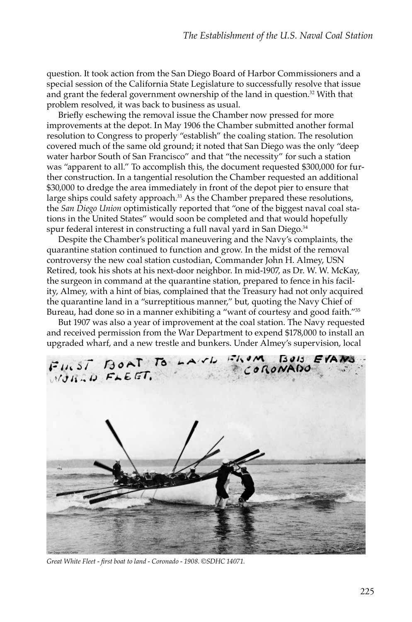question. It took action from the San Diego Board of Harbor Commissioners and a special session of the California State Legislature to successfully resolve that issue and grant the federal government ownership of the land in question.<sup>32</sup> With that problem resolved, it was back to business as usual.

Briefly eschewing the removal issue the Chamber now pressed for more improvements at the depot. In May 1906 the Chamber submitted another formal resolution to Congress to properly "establish" the coaling station. The resolution covered much of the same old ground; it noted that San Diego was the only "deep water harbor South of San Francisco" and that "the necessity" for such a station was "apparent to all." To accomplish this, the document requested \$300,000 for further construction. In a tangential resolution the Chamber requested an additional \$30,000 to dredge the area immediately in front of the depot pier to ensure that large ships could safety approach.<sup>33</sup> As the Chamber prepared these resolutions, the *San Diego Union* optimistically reported that "one of the biggest naval coal stations in the United States" would soon be completed and that would hopefully spur federal interest in constructing a full naval yard in San Diego.<sup>34</sup>

Despite the Chamber's political maneuvering and the Navy's complaints, the quarantine station continued to function and grow. In the midst of the removal controversy the new coal station custodian, Commander John H. Almey, USN Retired, took his shots at his next-door neighbor. In mid-1907, as Dr. W. W. McKay, the surgeon in command at the quarantine station, prepared to fence in his facility, Almey, with a hint of bias, complained that the Treasury had not only acquired the quarantine land in a "surreptitious manner," but, quoting the Navy Chief of Bureau, had done so in a manner exhibiting a "want of courtesy and good faith."<sup>35</sup>

But 1907 was also a year of improvement at the coal station. The Navy requested and received permission from the War Department to expend \$178,000 to install an upgraded wharf, and a new trestle and bunkers. Under Almey's supervision, local



*Great White Fleet - first boat to land - Coronado - 1908. ©SDHC 14071.*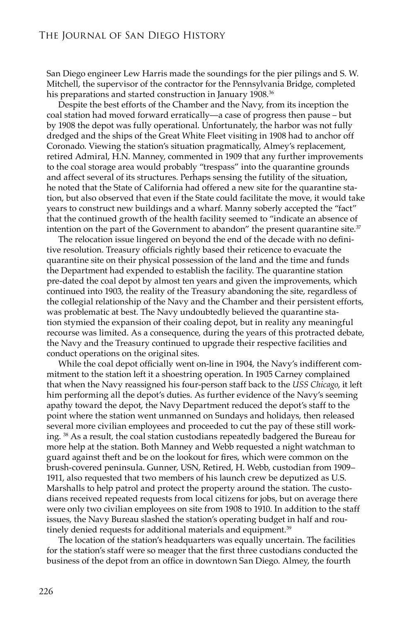San Diego engineer Lew Harris made the soundings for the pier pilings and S. W. Mitchell, the supervisor of the contractor for the Pennsylvania Bridge, completed his preparations and started construction in January 1908.<sup>36</sup>

Despite the best efforts of the Chamber and the Navy, from its inception the coal station had moved forward erratically—a case of progress then pause – but by 1908 the depot was fully operational. Unfortunately, the harbor was not fully dredged and the ships of the Great White Fleet visiting in 1908 had to anchor off Coronado. Viewing the station's situation pragmatically, Almey's replacement, retired Admiral, H.N. Manney, commented in 1909 that any further improvements to the coal storage area would probably "trespass" into the quarantine grounds and affect several of its structures. Perhaps sensing the futility of the situation, he noted that the State of California had offered a new site for the quarantine station, but also observed that even if the State could facilitate the move, it would take years to construct new buildings and a wharf. Manny soberly accepted the "fact" that the continued growth of the health facility seemed to "indicate an absence of intention on the part of the Government to abandon" the present quarantine site.<sup>37</sup>

The relocation issue lingered on beyond the end of the decade with no definitive resolution. Treasury officials rightly based their reticence to evacuate the quarantine site on their physical possession of the land and the time and funds the Department had expended to establish the facility. The quarantine station pre-dated the coal depot by almost ten years and given the improvements, which continued into 1903, the reality of the Treasury abandoning the site, regardless of the collegial relationship of the Navy and the Chamber and their persistent efforts, was problematic at best. The Navy undoubtedly believed the quarantine station stymied the expansion of their coaling depot, but in reality any meaningful recourse was limited. As a consequence, during the years of this protracted debate, the Navy and the Treasury continued to upgrade their respective facilities and conduct operations on the original sites.

While the coal depot officially went on-line in 1904, the Navy's indifferent commitment to the station left it a shoestring operation. In 1905 Carney complained that when the Navy reassigned his four-person staff back to the *USS Chicago*, it left him performing all the depot's duties. As further evidence of the Navy's seeming apathy toward the depot, the Navy Department reduced the depot's staff to the point where the station went unmanned on Sundays and holidays, then released several more civilian employees and proceeded to cut the pay of these still working. 38 As a result, the coal station custodians repeatedly badgered the Bureau for more help at the station. Both Manney and Webb requested a night watchman to guard against theft and be on the lookout for fires, which were common on the brush-covered peninsula. Gunner, USN, Retired, H. Webb, custodian from 1909– 1911, also requested that two members of his launch crew be deputized as U.S. Marshalls to help patrol and protect the property around the station. The custodians received repeated requests from local citizens for jobs, but on average there were only two civilian employees on site from 1908 to 1910. In addition to the staff issues, the Navy Bureau slashed the station's operating budget in half and routinely denied requests for additional materials and equipment.<sup>39</sup>

The location of the station's headquarters was equally uncertain. The facilities for the station's staff were so meager that the first three custodians conducted the business of the depot from an office in downtown San Diego. Almey, the fourth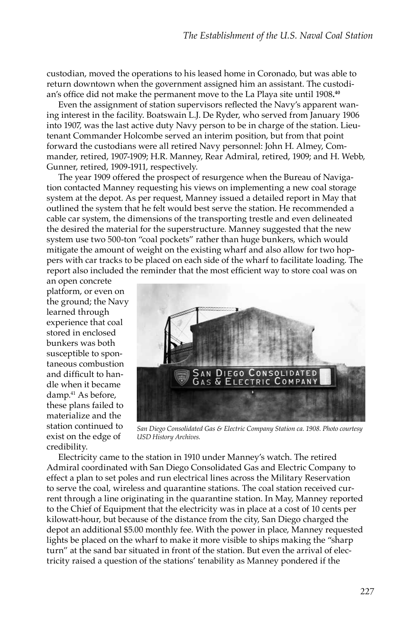custodian, moved the operations to his leased home in Coronado, but was able to return downtown when the government assigned him an assistant. The custodian's office did not make the permanent move to the La Playa site until 1908**. 40**

Even the assignment of station supervisors reflected the Navy's apparent waning interest in the facility. Boatswain L.J. De Ryder, who served from January 1906 into 1907, was the last active duty Navy person to be in charge of the station. Lieutenant Commander Holcombe served an interim position, but from that point forward the custodians were all retired Navy personnel: John H. Almey, Commander, retired, 1907-1909; H.R. Manney, Rear Admiral, retired, 1909; and H. Webb, Gunner, retired, 1909-1911, respectively.

The year 1909 offered the prospect of resurgence when the Bureau of Navigation contacted Manney requesting his views on implementing a new coal storage system at the depot. As per request, Manney issued a detailed report in May that outlined the system that he felt would best serve the station. He recommended a cable car system, the dimensions of the transporting trestle and even delineated the desired the material for the superstructure. Manney suggested that the new system use two 500-ton "coal pockets" rather than huge bunkers, which would mitigate the amount of weight on the existing wharf and also allow for two hoppers with car tracks to be placed on each side of the wharf to facilitate loading. The report also included the reminder that the most efficient way to store coal was on

an open concrete platform, or even on the ground; the Navy learned through experience that coal stored in enclosed bunkers was both susceptible to spontaneous combustion and difficult to handle when it became damp.41 As before, these plans failed to materialize and the station continued to exist on the edge of credibility.



*San Diego Consolidated Gas & Electric Company Station ca. 1908. Photo courtesy USD History Archives.* 

Electricity came to the station in 1910 under Manney's watch. The retired Admiral coordinated with San Diego Consolidated Gas and Electric Company to effect a plan to set poles and run electrical lines across the Military Reservation to serve the coal, wireless and quarantine stations. The coal station received current through a line originating in the quarantine station. In May, Manney reported to the Chief of Equipment that the electricity was in place at a cost of 10 cents per kilowatt-hour, but because of the distance from the city, San Diego charged the depot an additional \$5.00 monthly fee. With the power in place, Manney requested lights be placed on the wharf to make it more visible to ships making the "sharp turn" at the sand bar situated in front of the station. But even the arrival of electricity raised a question of the stations' tenability as Manney pondered if the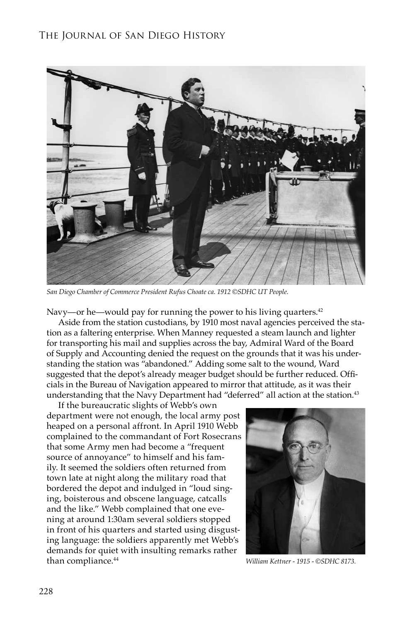## The Journal of San Diego History



*San Diego Chamber of Commerce President Rufus Choate ca. 1912 ©SDHC UT People.* 

Navy—or he—would pay for running the power to his living quarters.<sup>42</sup>

Aside from the station custodians, by 1910 most naval agencies perceived the station as a faltering enterprise. When Manney requested a steam launch and lighter for transporting his mail and supplies across the bay, Admiral Ward of the Board of Supply and Accounting denied the request on the grounds that it was his understanding the station was "abandoned." Adding some salt to the wound, Ward suggested that the depot's already meager budget should be further reduced. Officials in the Bureau of Navigation appeared to mirror that attitude, as it was their understanding that the Navy Department had "deferred" all action at the station.<sup>43</sup>

If the bureaucratic slights of Webb's own department were not enough, the local army post heaped on a personal affront. In April 1910 Webb complained to the commandant of Fort Rosecrans that some Army men had become a "frequent source of annoyance" to himself and his family. It seemed the soldiers often returned from town late at night along the military road that bordered the depot and indulged in "loud singing, boisterous and obscene language, catcalls and the like." Webb complained that one evening at around 1:30am several soldiers stopped in front of his quarters and started using disgusting language: the soldiers apparently met Webb's demands for quiet with insulting remarks rather than compliance.<sup>44</sup>



*William Kettner - 1915 - ©SDHC 8173.*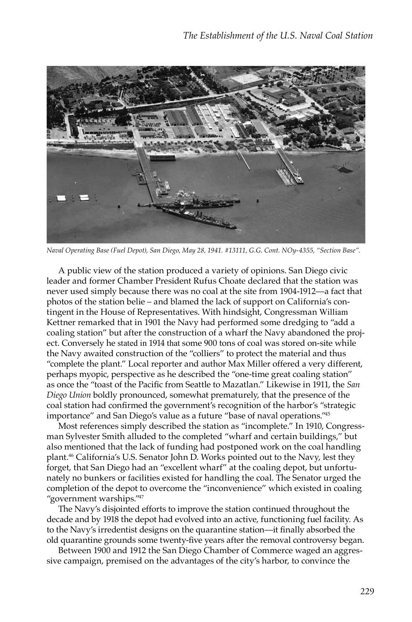

*Naval Operating Base (Fuel Depot), San Diego, May 28, 1941. #13111, G.G. Cont. NOy-4355, "Section Base".*

A public view of the station produced a variety of opinions. San Diego civic leader and former Chamber President Rufus Choate declared that the station was never used simply because there was no coal at the site from 1904-1912—a fact that photos of the station belie – and blamed the lack of support on California's contingent in the House of Representatives. With hindsight, Congressman William Kettner remarked that in 1901 the Navy had performed some dredging to "add a coaling station" but after the construction of a wharf the Navy abandoned the project. Conversely he stated in 1914 that some 900 tons of coal was stored on-site while the Navy awaited construction of the "colliers" to protect the material and thus "complete the plant." Local reporter and author Max Miller offered a very different, perhaps myopic, perspective as he described the "one-time great coaling station" as once the "toast of the Pacific from Seattle to Mazatlan." Likewise in 1911, the *San Diego Union* boldly pronounced, somewhat prematurely, that the presence of the coal station had confirmed the government's recognition of the harbor's "strategic importance" and San Diego's value as a future "base of naval operations."45

Most references simply described the station as "incomplete." In 1910, Congressman Sylvester Smith alluded to the completed "wharf and certain buildings," but also mentioned that the lack of funding had postponed work on the coal handling plant.<sup>46</sup> California's U.S. Senator John D. Works pointed out to the Navy, lest they forget, that San Diego had an "excellent wharf" at the coaling depot, but unfortunately no bunkers or facilities existed for handling the coal. The Senator urged the completion of the depot to overcome the "inconvenience" which existed in coaling "government warships."<sup>47</sup>

The Navy's disjointed efforts to improve the station continued throughout the decade and by 1918 the depot had evolved into an active, functioning fuel facility. As to the Navy's irredentist designs on the quarantine station—it finally absorbed the old quarantine grounds some twenty-five years after the removal controversy began.

Between 1900 and 1912 the San Diego Chamber of Commerce waged an aggressive campaign, premised on the advantages of the city's harbor, to convince the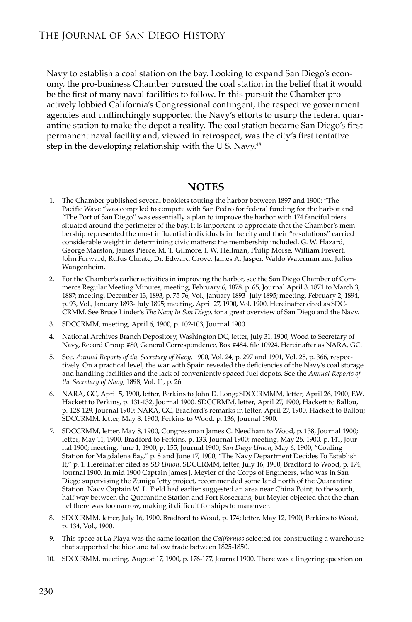Navy to establish a coal station on the bay. Looking to expand San Diego's economy, the pro-business Chamber pursued the coal station in the belief that it would be the first of many naval facilities to follow. In this pursuit the Chamber proactively lobbied California's Congressional contingent, the respective government agencies and unflinchingly supported the Navy's efforts to usurp the federal quarantine station to make the depot a reality. The coal station became San Diego's first permanent naval facility and, viewed in retrospect, was the city's first tentative step in the developing relationship with the U S. Navy.<sup>48</sup>

#### **NOTES**

- 1. The Chamber published several booklets touting the harbor between 1897 and 1900: "The Pacific Wave "was compiled to compete with San Pedro for federal funding for the harbor and "The Port of San Diego" was essentially a plan to improve the harbor with 174 fanciful piers situated around the perimeter of the bay. It is important to appreciate that the Chamber's membership represented the most influential individuals in the city and their "resolutions" carried considerable weight in determining civic matters: the membership included, G. W. Hazard, George Marston, James Pierce, M. T. Gilmore, I. W. Hellman, Philip Morse, William Frevert, John Forward, Rufus Choate, Dr. Edward Grove, James A. Jasper, Waldo Waterman and Julius Wangenheim.
- 2. For the Chamber's earlier activities in improving the harbor, see the San Diego Chamber of Commerce Regular Meeting Minutes, meeting, February 6, 1878, p. 65, Journal April 3, 1871 to March 3, 1887; meeting, December 13, 1893, p. 75-76, Vol., January 1893- July 1895; meeting, February 2, 1894, p. 93, Vol., January 1893- July 1895; meeting, April 27, 1900, Vol. 1900. Hereinafter cited as SDC-CRMM. See Bruce Linder's *The Navy In San Diego,* for a great overview of San Diego and the Navy.
- 3. SDCCRMM, meeting, April 6, 1900, p. 102-103, Journal 1900.
- 4. National Archives Branch Depository, Washington DC, letter, July 31, 1900, Wood to Secretary of Navy, Record Group #80, General Correspondence, Box #484, file 10924. Hereinafter as NARA, GC.
- 5. See, *Annual Reports of the Secretary of Navy,* 1900, Vol. 24, p. 297 and 1901, Vol. 25, p. 366, respectively. On a practical level, the war with Spain revealed the deficiencies of the Navy's coal storage and handling facilities and the lack of conveniently spaced fuel depots. See the *Annual Reports of the Secretary of Navy,* 1898, Vol. 11, p. 26.
- 6. NARA, GC, April 5, 1900, letter, Perkins to John D. Long; SDCCRMMM, letter, April 26, 1900, F.W. Hackett to Perkins, p. 131-132, Journal 1900. SDCCRMM, letter, April 27, 1900, Hackett to Ballou, p. 128-129, Journal 1900; NARA, GC, Bradford's remarks in letter, April 27, 1900, Hackett to Ballou; SDCCRMM, letter, May 8, 1900, Perkins to Wood, p. 136, Journal 1900.
- 7. SDCCRMM, letter, May 8, 1900, Congressman James C. Needham to Wood, p. 138, Journal 1900; letter, May 11, 1900, Bradford to Perkins, p. 133, Journal 1900; meeting, May 25, 1900, p. 141, Journal 1900; meeting, June 1, 1900, p. 155, Journal 1900; *San Diego Union*, May 6, 1900, "Coaling Station for Magdalena Bay," p. 8 and June 17, 1900, "The Navy Department Decides To Establish It," p. 1. Hereinafter cited as *SD Union*. SDCCRMM, letter, July 16, 1900, Bradford to Wood, p. 174, Journal 1900. In mid 1900 Captain James J. Meyler of the Corps of Engineers, who was in San Diego supervising the Zuniga Jetty project, recommended some land north of the Quarantine Station. Navy Captain W. L. Field had earlier suggested an area near China Point, to the south, half way between the Quarantine Station and Fort Rosecrans, but Meyler objected that the channel there was too narrow, making it difficult for ships to maneuver.
- 8. SDCCRMM, letter, July 16, 1900, Bradford to Wood, p. 174; letter, May 12, 1900, Perkins to Wood, p. 134, Vol., 1900.
- 9. This space at La Playa was the same location the *Californios* selected for constructing a warehouse that supported the hide and tallow trade between 1825-1850.
- 10. SDCCRMM, meeting, August 17, 1900, p. 176-177, Journal 1900. There was a lingering question on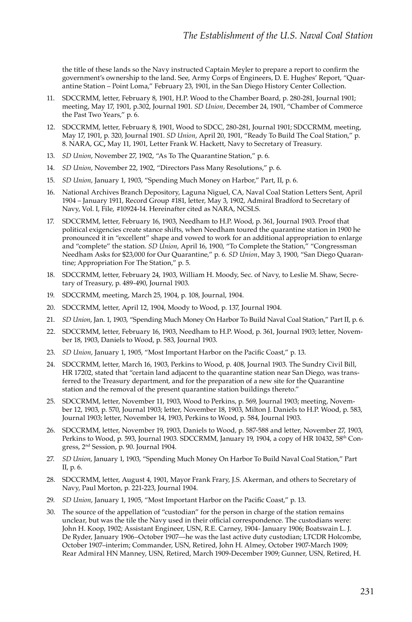the title of these lands so the Navy instructed Captain Meyler to prepare a report to confirm the government's ownership to the land. See, Army Corps of Engineers, D. E. Hughes' Report, "Quarantine Station – Point Loma," February 23, 1901, in the San Diego History Center Collection.

- 11. SDCCRMM, letter, February 8, 1901, H.P. Wood to the Chamber Board, p. 280-281, Journal 1901; meeting, May 17, 1901, p.302, Journal 1901. *SD Union,* December 24, 1901, "Chamber of Commerce the Past Two Years," p. 6.
- 12. SDCCRMM, letter, February 8, 1901, Wood to SDCC, 280-281, Journal 1901; SDCCRMM, meeting, May 17, 1901, p. 320, Journal 1901. *SD Union*, April 20, 1901, "Ready To Build The Coal Station," p. 8. NARA, GC**,** May 11, 1901, Letter Frank W. Hackett, Navy to Secretary of Treasury.
- 13. *SD Union*, November 27, 1902, "As To The Quarantine Station," p. 6.
- 14. *SD Union*, November 22, 1902, "Directors Pass Many Resolutions," p. 6.
- 15. *SD Union*, January 1, 1903, "Spending Much Money on Harbor," Part, II, p. 6.
- 16. National Archives Branch Depository, Laguna Niguel, CA, Naval Coal Station Letters Sent, April 1904 – January 1911, Record Group #181, letter, May 3, 1902, Admiral Bradford to Secretary of Navy, Vol. I, File, #10924-14. Hereinafter cited as NARA, NCSLS.
- 17. SDCCRMM, letter, February 16, 1903, Needham to H.P. Wood, p. 361, Journal 1903. Proof that political exigencies create stance shifts, when Needham toured the quarantine station in 1900 he pronounced it in "excellent" shape and vowed to work for an additional appropriation to enlarge and "complete" the station. *SD Union*, April 16, 1900, "To Complete the Station," "Congressman Needham Asks for \$23,000 for Our Quarantine," p. 6*. SD Union*, May 3, 1900, "San Diego Quarantine; Appropriation For The Station," p. 5.
- 18. SDCCRMM, letter, February 24, 1903, William H. Moody, Sec. of Navy, to Leslie M. Shaw, Secretary of Treasury, p. 489-490, Journal 1903.
- 19. SDCCRMM, meeting, March 25, 1904, p. 108, Journal, 1904.
- 20. SDCCRMM, letter, April 12, 1904, Moody to Wood, p. 137, Journal 1904.
- 21. *SD Union*, Jan. 1, 1903, "Spending Much Money On Harbor To Build Naval Coal Station," Part II, p. 6.
- 22. SDCCRMM, letter, February 16, 1903, Needham to H.P. Wood, p. 361, Journal 1903; letter, November 18, 1903, Daniels to Wood, p. 583, Journal 1903.
- 23. *SD Union*, January 1, 1905, "Most Important Harbor on the Pacific Coast," p. 13.
- 24. SDCCRMM, letter, March 16, 1903, Perkins to Wood, p. 408, Journal 1903. The Sundry Civil Bill, HR 17202, stated that "certain land adjacent to the quarantine station near San Diego, was transferred to the Treasury department, and for the preparation of a new site for the Quarantine station and the removal of the present quarantine station buildings thereto."
- 25. SDCCRMM, letter, November 11, 1903, Wood to Perkins, p. 569, Journal 1903; meeting, November 12, 1903, p. 570, Journal 1903; letter, November 18, 1903, Milton J. Daniels to H.P. Wood, p. 583, Journal 1903; letter, November 14, 1903, Perkins to Wood, p. 584, Journal 1903.
- 26. SDCCRMM, letter, November 19, 1903, Daniels to Wood, p. 587-588 and letter, November 27, 1903, Perkins to Wood, p. 593, Journal 1903. SDCCRMM, January 19, 1904, a copy of HR 10432, 58<sup>th</sup> Congress, 2nd Session, p. 90. Journal 1904.
- 27. *SD Union*, January 1, 1903, "Spending Much Money On Harbor To Build Naval Coal Station," Part II, p. 6.
- 28. SDCCRMM, letter, August 4, 1901, Mayor Frank Frary, J.S. Akerman, and others to Secretary of Navy, Paul Morton, p. 221-223, Journal 1904.
- 29. *SD Union*, January 1, 1905, "Most Important Harbor on the Pacific Coast," p. 13.
- 30. The source of the appellation of "custodian" for the person in charge of the station remains unclear, but was the tile the Navy used in their official correspondence. The custodians were: John H. Koop, 1902; Assistant Engineer, USN, R.E. Carney, 1904- January 1906; Boatswain L. J. De Ryder, January 1906–October 1907—he was the last active duty custodian; LTCDR Holcombe, October 1907–interim; Commander, USN, Retired, John H. Almey, October 1907-March 1909; Rear Admiral HN Manney, USN, Retired, March 1909-December 1909; Gunner, USN, Retired, H.